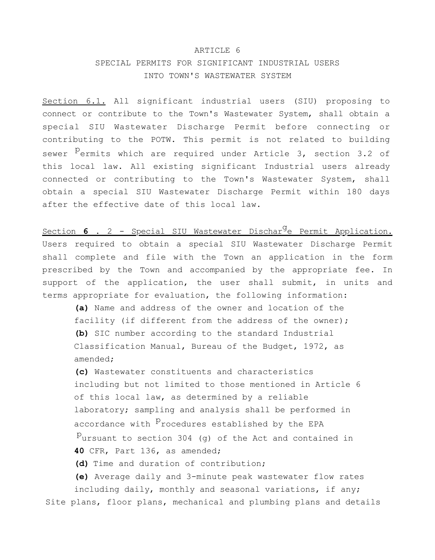## ARTICLE 6

## SPECIAL PERMITS FOR SIGNIFICANT INDUSTRIAL USERS INTO TOWN'S WASTEWATER SYSTEM

Section 6.1. All significant industrial users (SIU) proposing to connect or contribute to the Town's Wastewater System, shall obtain a special SIU Wastewater Discharge Permit before connecting or contributing to the POTW. This permit is not related to building sewer <sup>P</sup>ermits which are required under Article 3, section 3.2 of this local law. All existing significant Industrial users already connected or contributing to the Town's Wastewater System, shall obtain a special SIU Wastewater Discharge Permit within 180 days after the effective date of this local law.

Section **6** . 2 - Special SIU Wastewater Dischar<sup>g</sup>e Permit Application. Users required to obtain a special SIU Wastewater Discharge Permit shall complete and file with the Town an application in the form prescribed by the Town and accompanied by the appropriate fee. In support of the application, the user shall submit, in units and terms appropriate for evaluation, the following information:

**(a)** Name and address of the owner and location of the facility (if different from the address of the owner); **(b)** SIC number according to the standard Industrial Classification Manual, Bureau of the Budget, 1972, as amended;

**(c)** Wastewater constituents and characteristics including but not limited to those mentioned in Article 6 of this local law, as determined by a reliable laboratory; sampling and analysis shall be performed in accordance with <sup>P</sup>rocedures established by the EPA  $P$ ursuant to section 304 (g) of the Act and contained in **40** CFR, Part 136, as amended;

**(d)** Time and duration of contribution;

**(e)** Average daily and 3-minute peak wastewater flow rates including daily, monthly and seasonal variations, if any;

Site plans, floor plans, mechanical and plumbing plans and details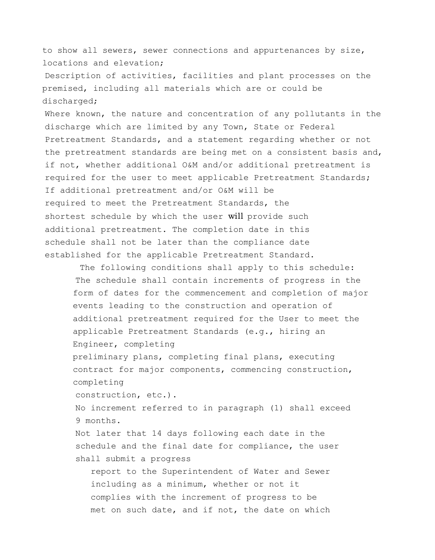to show all sewers, sewer connections and appurtenances by size, locations and elevation;

Description of activities, facilities and plant processes on the premised, including all materials which are or could be discharged;

Where known, the nature and concentration of any pollutants in the discharge which are limited by any Town, State or Federal Pretreatment Standards, and a statement regarding whether or not the pretreatment standards are being met on a consistent basis and, if not, whether additional O&M and/or additional pretreatment is required for the user to meet applicable Pretreatment Standards; If additional pretreatment and/or O&M will be required to meet the Pretreatment Standards, the shortest schedule by which the user will provide such additional pretreatment. The completion date in this schedule shall not be later than the compliance date established for the applicable Pretreatment Standard.

The following conditions shall apply to this schedule: The schedule shall contain increments of progress in the form of dates for the commencement and completion of major events leading to the construction and operation of additional pretreatment required for the User to meet the applicable Pretreatment Standards (e.g., hiring an Engineer, completing

preliminary plans, completing final plans, executing contract for major components, commencing construction, completing

construction, etc.).

No increment referred to in paragraph (1) shall exceed 9 months.

Not later that 14 days following each date in the schedule and the final date for compliance, the user shall submit a progress

report to the Superintendent of Water and Sewer including as a minimum, whether or not it complies with the increment of progress to be met on such date, and if not, the date on which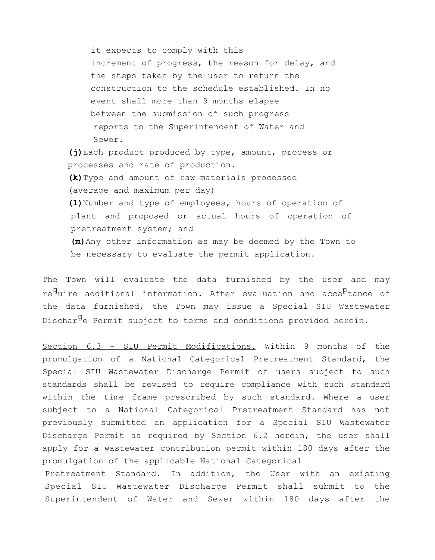it expects to comply with this increment of progress, the reason for delay, and the steps taken by the user to return the construction to the schedule established. In no event shall more than 9 months elapse between the submission of such progress reports to the Superintendent of Water and Sewer. **(j)**Each product produced by type, amount, process or processes and rate of production. **(k)**Type and amount of raw materials processed (average and maximum per day) **(1)**Number and type of employees, hours of operation of plant and proposed or actual hours of operation of pretreatment system; and **(m)**Any other information as may be deemed by the Town to be necessary to evaluate the permit application.

The Town will evaluate the data furnished by the user and may re<sup>q</sup>uire additional information. After evaluation and acce<sup>p</sup>tance of the data furnished, the Town may issue a Special SIU Wastewater Dischar<sup>g</sup>e Permit subject to terms and conditions provided herein.

Section 6.3 - SIU Permit Modifications. Within 9 months of the promulgation of a National Categorical Pretreatment Standard, the Special SIU Wastewater Discharge Permit of users subject to such standards shall be revised to require compliance with such standard within the time frame prescribed by such standard. Where a user subject to a National Categorical Pretreatment Standard has not previously submitted an application for a Special SIU Wastewater Discharge Permit as required by Section 6.2 herein, the user shall apply for a wastewater contribution permit within 180 days after the promulgation of the applicable National Categorical

Pretreatment Standard. In addition, the User with an existing Special SIU Wastewater Discharge Permit shall submit to the Superintendent of Water and Sewer within 180 days after the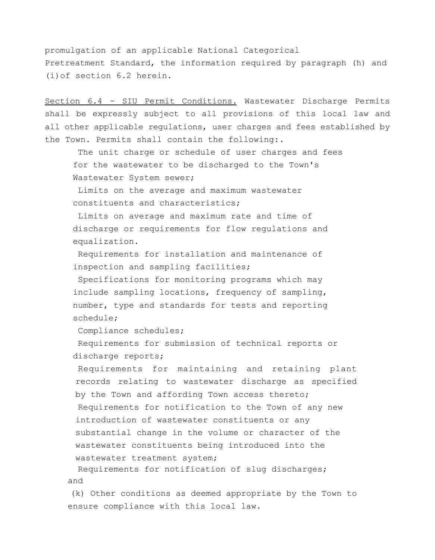promulgation of an applicable National Categorical Pretreatment Standard, the information required by paragraph (h) and (i)of section 6.2 herein.

Section 6.4 - SIU Permit Conditions. Wastewater Discharge Permits shall be expressly subject to all provisions of this local law and all other applicable regulations, user charges and fees established by the Town. Permits shall contain the following:.

The unit charge or schedule of user charges and fees for the wastewater to be discharged to the Town's Wastewater System sewer;

Limits on the average and maximum wastewater constituents and characteristics;

Limits on average and maximum rate and time of discharge or requirements for flow regulations and equalization.

Requirements for installation and maintenance of inspection and sampling facilities;

Specifications for monitoring programs which may include sampling locations, frequency of sampling, number, type and standards for tests and reporting schedule;

Compliance schedules;

Requirements for submission of technical reports or discharge reports;

Requirements for maintaining and retaining plant records relating to wastewater discharge as specified by the Town and affording Town access thereto; Requirements for notification to the Town of any new introduction of wastewater constituents or any substantial change in the volume or character of the wastewater constituents being introduced into the wastewater treatment system;

Requirements for notification of slug discharges; and

(k) Other conditions as deemed appropriate by the Town to ensure compliance with this local law.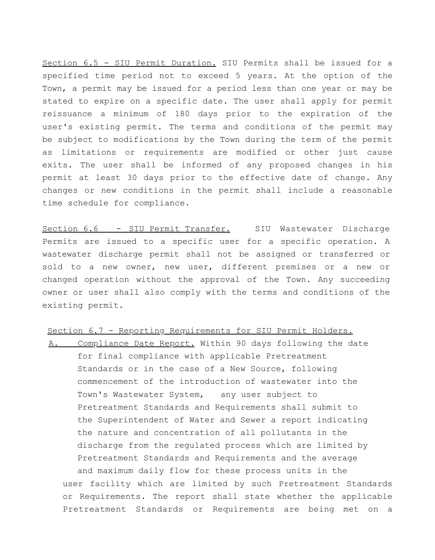Section 6.5 - SIU Permit Duration. SIU Permits shall be issued for a specified time period not to exceed 5 years. At the option of the Town, a permit may be issued for a period less than one year or may be stated to expire on a specific date. The user shall apply for permit reissuance a minimum of 180 days prior to the expiration of the user's existing permit. The terms and conditions of the permit may be subject to modifications by the Town during the term of the permit as limitations or requirements are modified or other just cause exits. The user shall be informed of any proposed changes in his permit at least 30 days prior to the effective date of change. Any changes or new conditions in the permit shall include a reasonable time schedule for compliance.

Section 6.6 - SIU Permit Transfer. SIU Wastewater Discharge Permits are issued to a specific user for a specific operation. A wastewater discharge permit shall not be assigned or transferred or sold to a new owner, new user, different premises or a new or changed operation without the approval of the Town. Any succeeding owner or user shall also comply with the terms and conditions of the existing permit.

Section 6.7 - Reporting Requirements for SIU Permit Holders.

A. Compliance Date Report. Within 90 days following the date for final compliance with applicable Pretreatment Standards or in the case of a New Source, following commencement of the introduction of wastewater into the Town's Wastewater System, any user subject to Pretreatment Standards and Requirements shall submit to the Superintendent of Water and Sewer a report indicating the nature and concentration of all pollutants in the discharge from the regulated process which are limited by Pretreatment Standards and Requirements and the average and maximum daily flow for these process units in the user facility which are limited by such Pretreatment Standards or Requirements. The report shall state whether the applicable Pretreatment Standards or Requirements are being met on a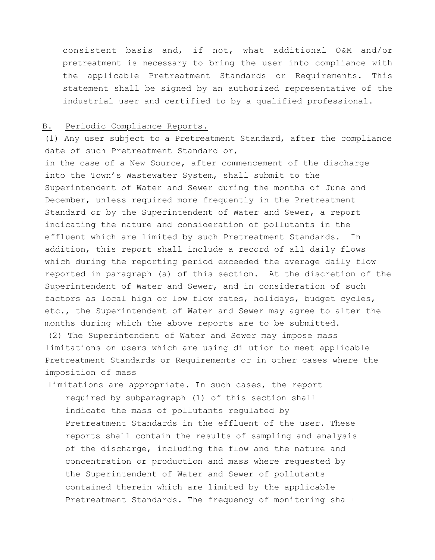consistent basis and, if not, what additional O&M and/or pretreatment is necessary to bring the user into compliance with the applicable Pretreatment Standards or Requirements. This statement shall be signed by an authorized representative of the industrial user and certified to by a qualified professional.

## B. Periodic Compliance Reports.

(1) Any user subject to a Pretreatment Standard, after the compliance date of such Pretreatment Standard or,

in the case of a New Source, after commencement of the discharge into the Town's Wastewater System, shall submit to the Superintendent of Water and Sewer during the months of June and December, unless required more frequently in the Pretreatment Standard or by the Superintendent of Water and Sewer, a report indicating the nature and consideration of pollutants in the effluent which are limited by such Pretreatment Standards. In addition, this report shall include a record of all daily flows which during the reporting period exceeded the average daily flow reported in paragraph (a) of this section. At the discretion of the Superintendent of Water and Sewer, and in consideration of such factors as local high or low flow rates, holidays, budget cycles, etc., the Superintendent of Water and Sewer may agree to alter the months during which the above reports are to be submitted.

(2) The Superintendent of Water and Sewer may impose mass limitations on users which are using dilution to meet applicable Pretreatment Standards or Requirements or in other cases where the imposition of mass

limitations are appropriate. In such cases, the report required by subparagraph (1) of this section shall indicate the mass of pollutants regulated by Pretreatment Standards in the effluent of the user. These reports shall contain the results of sampling and analysis of the discharge, including the flow and the nature and concentration or production and mass where requested by the Superintendent of Water and Sewer of pollutants contained therein which are limited by the applicable Pretreatment Standards. The frequency of monitoring shall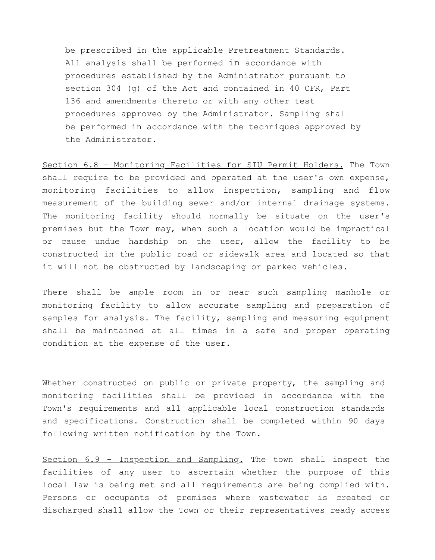be prescribed in the applicable Pretreatment Standards. All analysis shall be performed in accordance with procedures established by the Administrator pursuant to section 304 (g) of the Act and contained in 40 CFR, Part 136 and amendments thereto or with any other test procedures approved by the Administrator. Sampling shall be performed in accordance with the techniques approved by the Administrator.

Section 6.8 – Monitoring Facilities for SIU Permit Holders. The Town shall require to be provided and operated at the user's own expense, monitoring facilities to allow inspection, sampling and flow measurement of the building sewer and/or internal drainage systems. The monitoring facility should normally be situate on the user's premises but the Town may, when such a location would be impractical or cause undue hardship on the user, allow the facility to be constructed in the public road or sidewalk area and located so that it will not be obstructed by landscaping or parked vehicles.

There shall be ample room in or near such sampling manhole or monitoring facility to allow accurate sampling and preparation of samples for analysis. The facility, sampling and measuring equipment shall be maintained at all times in a safe and proper operating condition at the expense of the user.

Whether constructed on public or private property, the sampling and monitoring facilities shall be provided in accordance with the Town's requirements and all applicable local construction standards and specifications. Construction shall be completed within 90 days following written notification by the Town.

Section 6.9 - Inspection and Sampling. The town shall inspect the facilities of any user to ascertain whether the purpose of this local law is being met and all requirements are being complied with. Persons or occupants of premises where wastewater is created or discharged shall allow the Town or their representatives ready access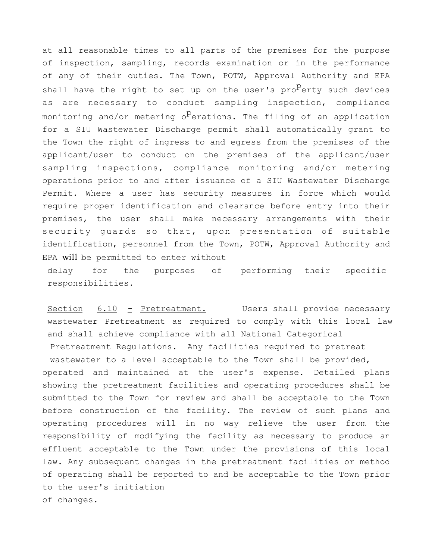at all reasonable times to all parts of the premises for the purpose of inspection, sampling, records examination or in the performance of any of their duties. The Town, POTW, Approval Authority and EPA shall have the right to set up on the user's pro $P$ erty such devices as are necessary to conduct sampling inspection, compliance monitoring and/or metering  $o^P$ erations. The filing of an application for a SIU Wastewater Discharge permit shall automatically grant to the Town the right of ingress to and egress from the premises of the applicant/user to conduct on the premises of the applicant/user sampling inspections, compliance monitoring and/or metering operations prior to and after issuance of a SIU Wastewater Discharge Permit. Where a user has security measures in force which would require proper identification and clearance before entry into their premises, the user shall make necessary arrangements with their security guards so that, upon presentation of suitable identification, personnel from the Town, POTW, Approval Authority and EPA will be permitted to enter without

delay for the purposes of performing their specific responsibilities.

Section 6.10 - Pretreatment. Users shall provide necessary wastewater Pretreatment as required to comply with this local law and shall achieve compliance with all National Categorical Pretreatment Regulations. Any facilities required to pretreat wastewater to a level acceptable to the Town shall be provided, operated and maintained at the user's expense. Detailed plans showing the pretreatment facilities and operating procedures shall be submitted to the Town for review and shall be acceptable to the Town before construction of the facility. The review of such plans and operating procedures will in no way relieve the user from the responsibility of modifying the facility as necessary to produce an effluent acceptable to the Town under the provisions of this local law. Any subsequent changes in the pretreatment facilities or method of operating shall be reported to and be acceptable to the Town prior to the user's initiation of changes.